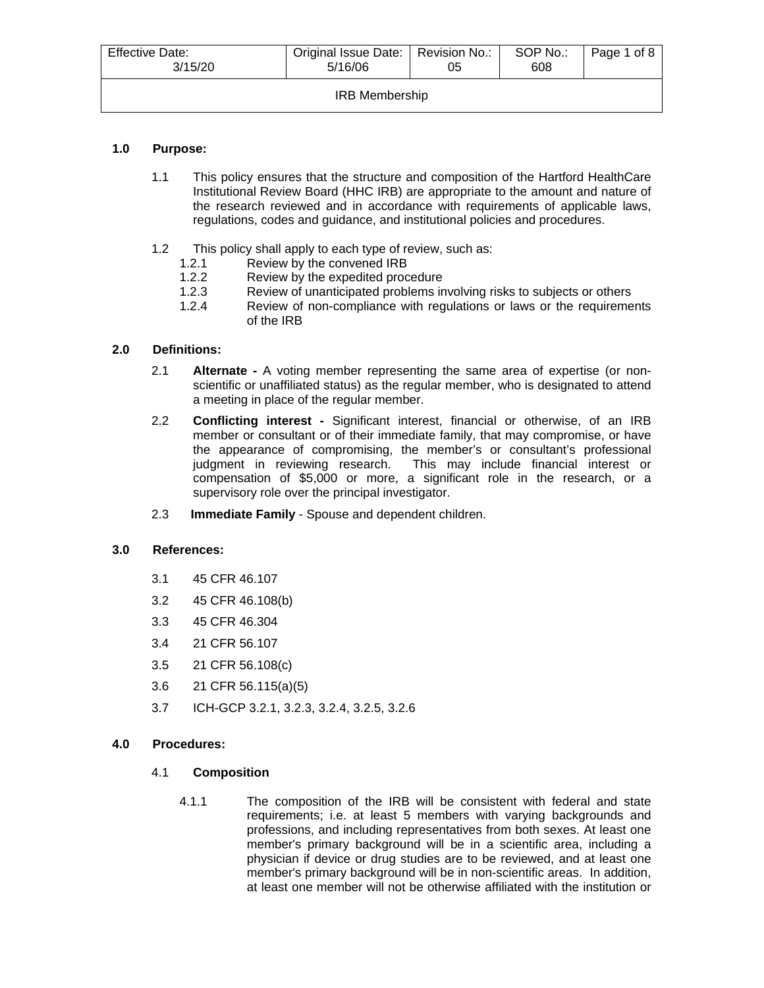| <b>Effective Date:</b><br>3/15/20 | Original Issue Date:   Revision No.:<br>5/16/06 | 05 | SOP No.:<br>608 | Page 1 of 8 |  |
|-----------------------------------|-------------------------------------------------|----|-----------------|-------------|--|
| <b>IRB Membership</b>             |                                                 |    |                 |             |  |

# **1.0 Purpose:**

- 1.1 This policy ensures that the structure and composition of the Hartford HealthCare Institutional Review Board (HHC IRB) are appropriate to the amount and nature of the research reviewed and in accordance with requirements of applicable laws, regulations, codes and guidance, and institutional policies and procedures.
- 1.2 This policy shall apply to each type of review, such as:
	- 1.2.1 Review by the convened IRB<br>1.2.2 Review by the expedited proc
	- Review by the expedited procedure
	- 1.2.3 Review of unanticipated problems involving risks to subjects or others
	- 1.2.4 Review of non-compliance with regulations or laws or the requirements of the IRB

# **2.0 Definitions:**

- 2.1 **Alternate -** A voting member representing the same area of expertise (or nonscientific or unaffiliated status) as the regular member, who is designated to attend a meeting in place of the regular member.
- 2.2 **Conflicting interest -** Significant interest, financial or otherwise, of an IRB member or consultant or of their immediate family, that may compromise, or have the appearance of compromising, the member's or consultant's professional judgment in reviewing research. This may include financial interest or compensation of \$5,000 or more, a significant role in the research, or a supervisory role over the principal investigator.
- 2.3 **Immediate Family** Spouse and dependent children.

## **3.0 References:**

- 3.1 45 CFR 46.107
- 3.2 45 CFR 46.108(b)
- 3.3 45 CFR 46.304
- 3.4 21 CFR 56.107
- 3.5 21 CFR 56.108(c)
- 3.6 21 CFR 56.115(a)(5)
- 3.7 ICH-GCP 3.2.1, 3.2.3, 3.2.4, 3.2.5, 3.2.6

## **4.0 Procedures:**

## 4.1 **Composition**

4.1.1 The composition of the IRB will be consistent with federal and state requirements; i.e. at least 5 members with varying backgrounds and professions, and including representatives from both sexes. At least one member's primary background will be in a scientific area, including a physician if device or drug studies are to be reviewed, and at least one member's primary background will be in non-scientific areas. In addition, at least one member will not be otherwise affiliated with the institution or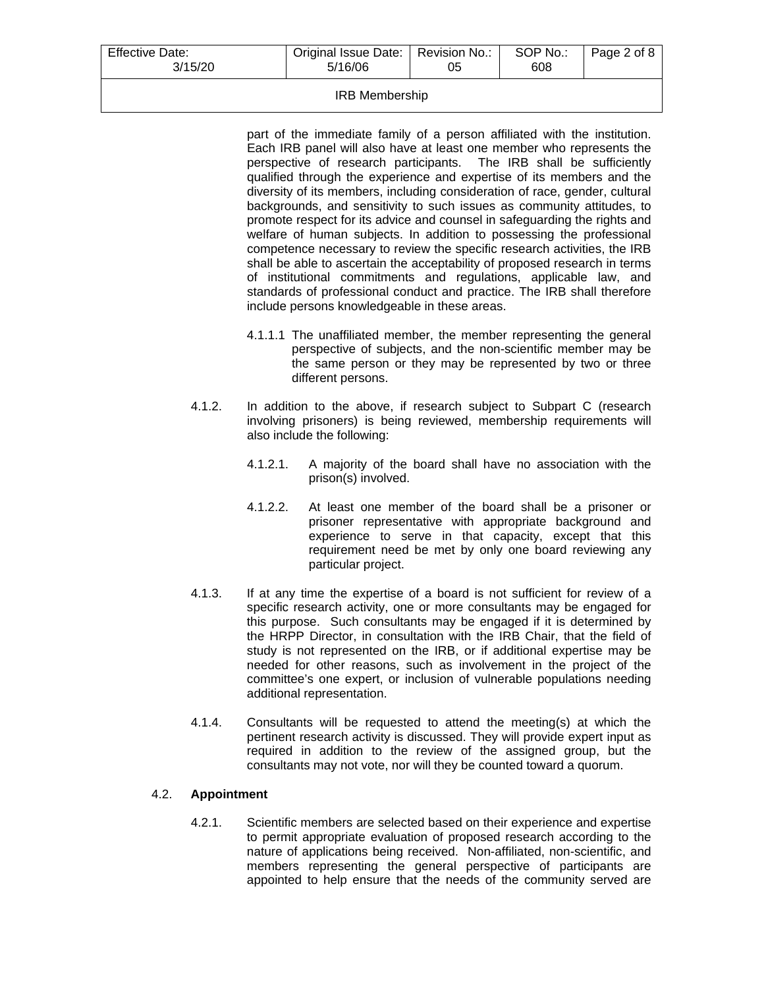| <b>Effective Date:</b><br>Original Issue Date:   Revision No.:<br>3/15/20<br>5/16/06 |  | SOP No.:<br>608 | Page 2 of 8 |
|--------------------------------------------------------------------------------------|--|-----------------|-------------|
|                                                                                      |  |                 |             |

#### IRB Membership

part of the immediate family of a person affiliated with the institution. Each IRB panel will also have at least one member who represents the perspective of research participants. The IRB shall be sufficiently qualified through the experience and expertise of its members and the diversity of its members, including consideration of race, gender, cultural backgrounds, and sensitivity to such issues as community attitudes, to promote respect for its advice and counsel in safeguarding the rights and welfare of human subjects. In addition to possessing the professional competence necessary to review the specific research activities, the IRB shall be able to ascertain the acceptability of proposed research in terms of institutional commitments and regulations, applicable law, and standards of professional conduct and practice. The IRB shall therefore include persons knowledgeable in these areas.

- 4.1.1.1 The unaffiliated member, the member representing the general perspective of subjects, and the non-scientific member may be the same person or they may be represented by two or three different persons.
- 4.1.2. In addition to the above, if research subject to Subpart C (research involving prisoners) is being reviewed, membership requirements will also include the following:
	- 4.1.2.1. A majority of the board shall have no association with the prison(s) involved.
	- 4.1.2.2. At least one member of the board shall be a prisoner or prisoner representative with appropriate background and experience to serve in that capacity, except that this requirement need be met by only one board reviewing any particular project.
- 4.1.3. If at any time the expertise of a board is not sufficient for review of a specific research activity, one or more consultants may be engaged for this purpose. Such consultants may be engaged if it is determined by the HRPP Director, in consultation with the IRB Chair, that the field of study is not represented on the IRB, or if additional expertise may be needed for other reasons, such as involvement in the project of the committee's one expert, or inclusion of vulnerable populations needing additional representation.
- 4.1.4. Consultants will be requested to attend the meeting(s) at which the pertinent research activity is discussed. They will provide expert input as required in addition to the review of the assigned group, but the consultants may not vote, nor will they be counted toward a quorum.

## 4.2. **Appointment**

4.2.1. Scientific members are selected based on their experience and expertise to permit appropriate evaluation of proposed research according to the nature of applications being received. Non-affiliated, non-scientific, and members representing the general perspective of participants are appointed to help ensure that the needs of the community served are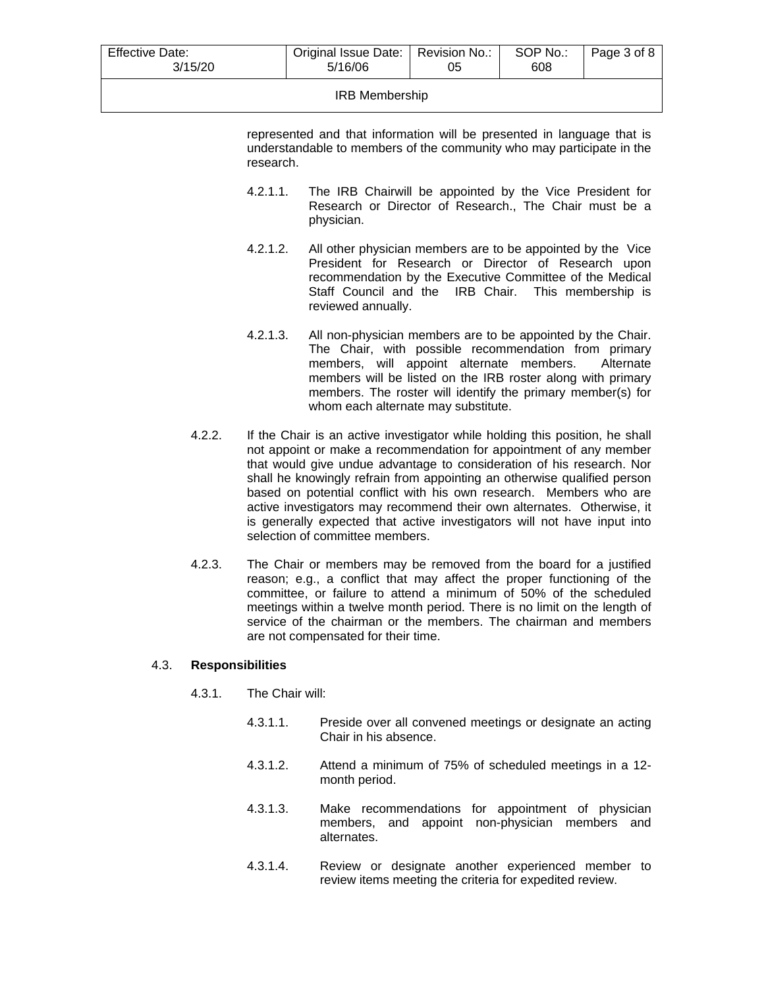| <b>Effective Date:</b><br>3/15/20 | Original Issue Date:   Revision No.:<br>5/16/06 | 05 | SOP No.:<br>608 | Page 3 of 8 |  |
|-----------------------------------|-------------------------------------------------|----|-----------------|-------------|--|
| <b>IRB Membership</b>             |                                                 |    |                 |             |  |

represented and that information will be presented in language that is understandable to members of the community who may participate in the research.

- 4.2.1.1. The IRB Chairwill be appointed by the Vice President for Research or Director of Research., The Chair must be a physician.
- 4.2.1.2. All other physician members are to be appointed by the Vice President for Research or Director of Research upon recommendation by the Executive Committee of the Medical Staff Council and the IRB Chair. This membership is reviewed annually.
- 4.2.1.3. All non-physician members are to be appointed by the Chair. The Chair, with possible recommendation from primary<br>members, will appoint alternate members. Alternate members, will appoint alternate members. members will be listed on the IRB roster along with primary members. The roster will identify the primary member(s) for whom each alternate may substitute.
- 4.2.2. If the Chair is an active investigator while holding this position, he shall not appoint or make a recommendation for appointment of any member that would give undue advantage to consideration of his research. Nor shall he knowingly refrain from appointing an otherwise qualified person based on potential conflict with his own research. Members who are active investigators may recommend their own alternates. Otherwise, it is generally expected that active investigators will not have input into selection of committee members.
- 4.2.3. The Chair or members may be removed from the board for a justified reason; e.g., a conflict that may affect the proper functioning of the committee, or failure to attend a minimum of 50% of the scheduled meetings within a twelve month period. There is no limit on the length of service of the chairman or the members. The chairman and members are not compensated for their time.

## 4.3. **Responsibilities**

- 4.3.1. The Chair will:
	- 4.3.1.1. Preside over all convened meetings or designate an acting Chair in his absence.
	- 4.3.1.2. Attend a minimum of 75% of scheduled meetings in a 12 month period.
	- 4.3.1.3. Make recommendations for appointment of physician members, and appoint non-physician members and alternates.
	- 4.3.1.4. Review or designate another experienced member to review items meeting the criteria for expedited review.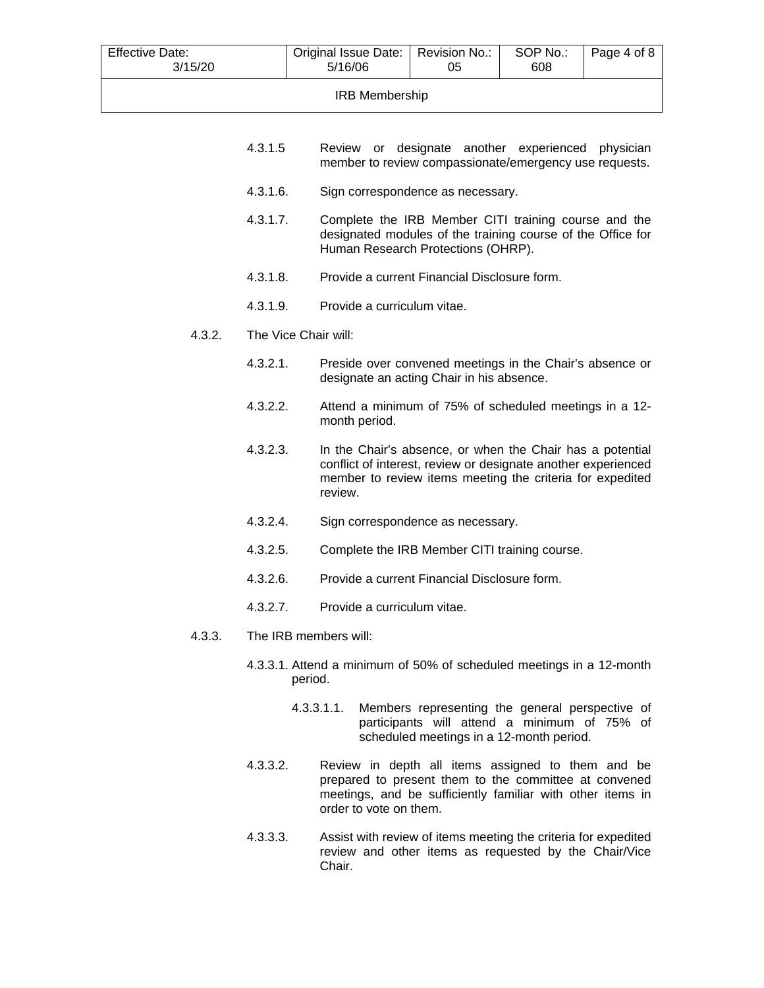| <b>Effective Date:</b><br>3/15/20 | Original Issue Date:   Revision No.:<br>5/16/06 | 05 | SOP No.:<br>608 | Page 4 of 8 |
|-----------------------------------|-------------------------------------------------|----|-----------------|-------------|
| <b>IRB Membership</b>             |                                                 |    |                 |             |

- 4.3.1.5 Review or designate another experienced physician member to review compassionate/emergency use requests.
- 4.3.1.6. Sign correspondence as necessary.
- 4.3.1.7. Complete the IRB Member CITI training course and the designated modules of the training course of the Office for Human Research Protections (OHRP).
- 4.3.1.8. Provide a current Financial Disclosure form.
- 4.3.1.9. Provide a curriculum vitae.
- 4.3.2. The Vice Chair will:
	- 4.3.2.1. Preside over convened meetings in the Chair's absence or designate an acting Chair in his absence.
	- 4.3.2.2. Attend a minimum of 75% of scheduled meetings in a 12 month period.
	- 4.3.2.3. In the Chair's absence, or when the Chair has a potential conflict of interest, review or designate another experienced member to review items meeting the criteria for expedited review.
	- 4.3.2.4. Sign correspondence as necessary.
	- 4.3.2.5. Complete the IRB Member CITI training course.
	- 4.3.2.6. Provide a current Financial Disclosure form.
	- 4.3.2.7. Provide a curriculum vitae.
- 4.3.3. The IRB members will:
	- 4.3.3.1. Attend a minimum of 50% of scheduled meetings in a 12-month period.
		- 4.3.3.1.1. Members representing the general perspective of participants will attend a minimum of 75% of scheduled meetings in a 12-month period.
	- 4.3.3.2. Review in depth all items assigned to them and be prepared to present them to the committee at convened meetings, and be sufficiently familiar with other items in order to vote on them.
	- 4.3.3.3. Assist with review of items meeting the criteria for expedited review and other items as requested by the Chair/Vice Chair.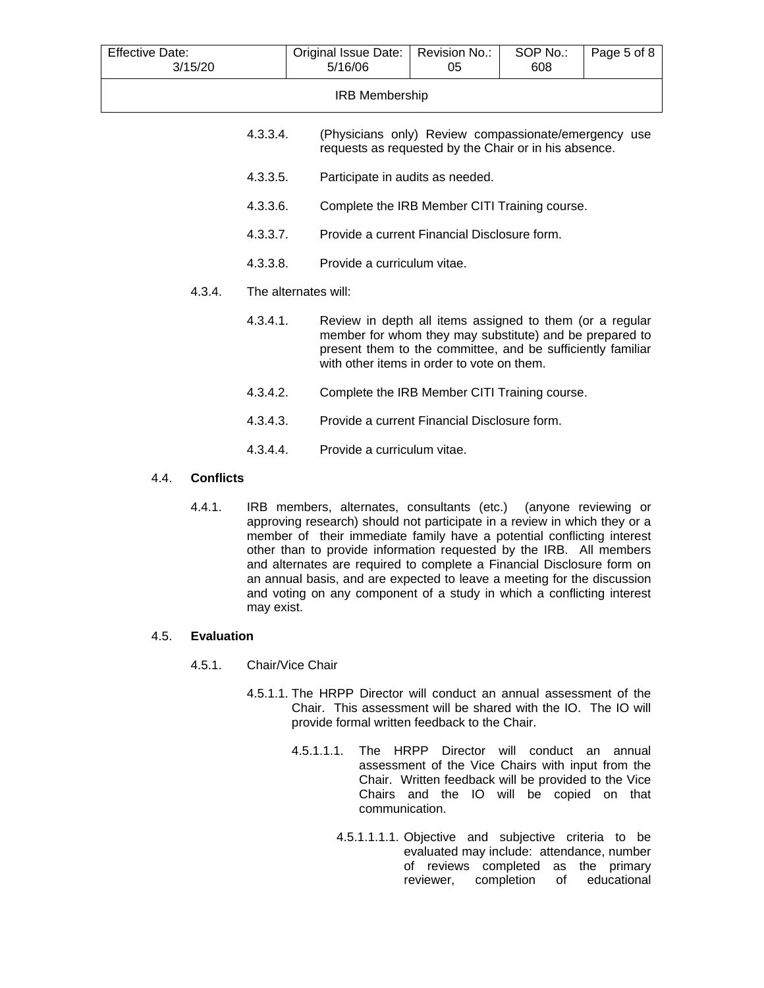| <b>Effective Date:</b><br>3/15/20 |                      | Original Issue Date:<br>5/16/06                                                                                                                                                                                                  | Revision No.:<br>05 | SOP No.:<br>608 | Page 5 of 8 |
|-----------------------------------|----------------------|----------------------------------------------------------------------------------------------------------------------------------------------------------------------------------------------------------------------------------|---------------------|-----------------|-------------|
|                                   |                      | <b>IRB Membership</b>                                                                                                                                                                                                            |                     |                 |             |
|                                   | 4.3.3.4.             | (Physicians only) Review compassionate/emergency use<br>requests as requested by the Chair or in his absence.                                                                                                                    |                     |                 |             |
|                                   | 4.3.3.5.             | Participate in audits as needed.                                                                                                                                                                                                 |                     |                 |             |
|                                   | 4.3.3.6.             | Complete the IRB Member CITI Training course.                                                                                                                                                                                    |                     |                 |             |
|                                   | 4.3.3.7.             | Provide a current Financial Disclosure form.                                                                                                                                                                                     |                     |                 |             |
|                                   | 4.3.3.8.             | Provide a curriculum vitae.                                                                                                                                                                                                      |                     |                 |             |
| 4.3.4.                            | The alternates will: |                                                                                                                                                                                                                                  |                     |                 |             |
|                                   | 4.3.4.1.             | Review in depth all items assigned to them (or a regular<br>member for whom they may substitute) and be prepared to<br>present them to the committee, and be sufficiently familiar<br>with other items in order to vote on them. |                     |                 |             |
|                                   | 4.3.4.2.             | Complete the IRB Member CITI Training course.                                                                                                                                                                                    |                     |                 |             |
|                                   | 4.3.4.3.             | Provide a current Financial Disclosure form.                                                                                                                                                                                     |                     |                 |             |
|                                   | 4.3.4.4.             | Provide a curriculum vitae.                                                                                                                                                                                                      |                     |                 |             |
| <b>Conflicts</b><br>4.4.          |                      |                                                                                                                                                                                                                                  |                     |                 |             |

4.4.1. IRB members, alternates, consultants (etc.) (anyone reviewing or approving research) should not participate in a review in which they or a member of their immediate family have a potential conflicting interest other than to provide information requested by the IRB. All members and alternates are required to complete a Financial Disclosure form on an annual basis, and are expected to leave a meeting for the discussion and voting on any component of a study in which a conflicting interest may exist.

## 4.5. **Evaluation**

## 4.5.1. Chair/Vice Chair

- 4.5.1.1. The HRPP Director will conduct an annual assessment of the Chair. This assessment will be shared with the IO. The IO will provide formal written feedback to the Chair.
	- 4.5.1.1.1. The HRPP Director will conduct an annual assessment of the Vice Chairs with input from the Chair. Written feedback will be provided to the Vice Chairs and the IO will be copied on that communication.
		- 4.5.1.1.1.1. Objective and subjective criteria to be evaluated may include: attendance, number of reviews completed as the primary<br>reviewer, completion of educational completion of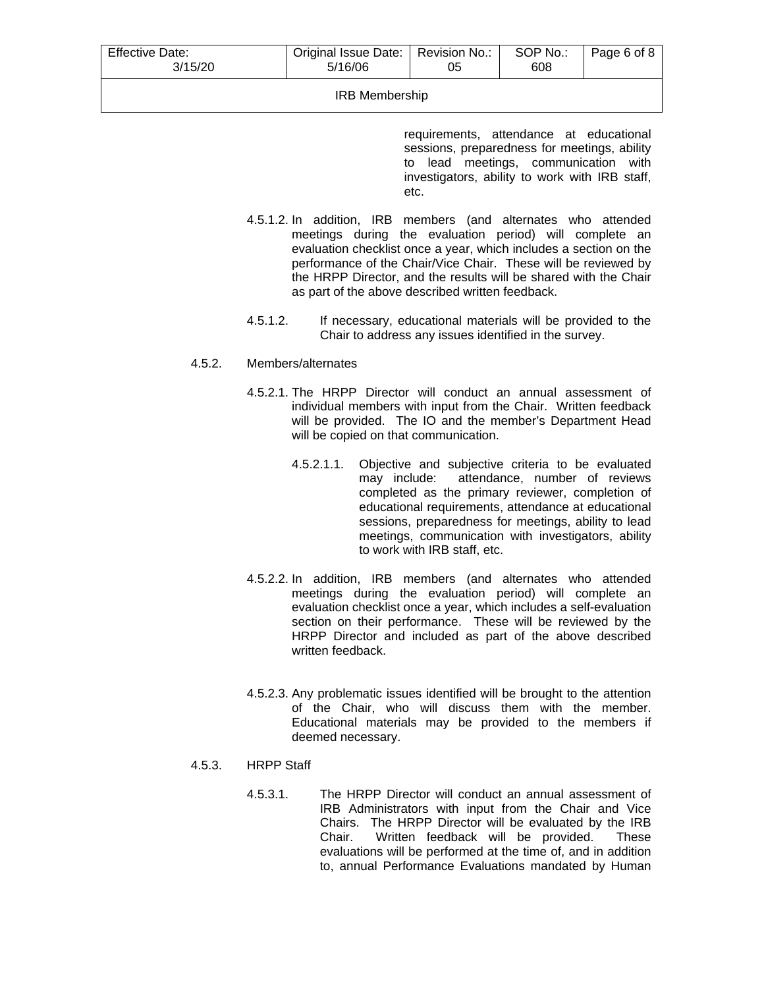| <b>Effective Date:</b><br>3/15/20 | Original Issue Date:   Revision No.:<br>5/16/06 | 05 | SOP No.:<br>608 | Page 6 of 8 |  |
|-----------------------------------|-------------------------------------------------|----|-----------------|-------------|--|
|                                   |                                                 |    |                 |             |  |

#### IRB Membership

requirements, attendance at educational sessions, preparedness for meetings, ability to lead meetings, communication with investigators, ability to work with IRB staff, etc.

- 4.5.1.2. In addition, IRB members (and alternates who attended meetings during the evaluation period) will complete an evaluation checklist once a year, which includes a section on the performance of the Chair/Vice Chair. These will be reviewed by the HRPP Director, and the results will be shared with the Chair as part of the above described written feedback.
- 4.5.1.2. If necessary, educational materials will be provided to the Chair to address any issues identified in the survey.

## 4.5.2. Members/alternates

- 4.5.2.1. The HRPP Director will conduct an annual assessment of individual members with input from the Chair. Written feedback will be provided. The IO and the member's Department Head will be copied on that communication.
	- 4.5.2.1.1. Objective and subjective criteria to be evaluated may include: attendance, number of reviews completed as the primary reviewer, completion of educational requirements, attendance at educational sessions, preparedness for meetings, ability to lead meetings, communication with investigators, ability to work with IRB staff, etc.
- 4.5.2.2. In addition, IRB members (and alternates who attended meetings during the evaluation period) will complete an evaluation checklist once a year, which includes a self-evaluation section on their performance. These will be reviewed by the HRPP Director and included as part of the above described written feedback.
- 4.5.2.3. Any problematic issues identified will be brought to the attention of the Chair, who will discuss them with the member. Educational materials may be provided to the members if deemed necessary.

# 4.5.3. HRPP Staff

4.5.3.1. The HRPP Director will conduct an annual assessment of IRB Administrators with input from the Chair and Vice Chairs. The HRPP Director will be evaluated by the IRB<br>Chair. Written feedback will be provided. These Written feedback will be provided. evaluations will be performed at the time of, and in addition to, annual Performance Evaluations mandated by Human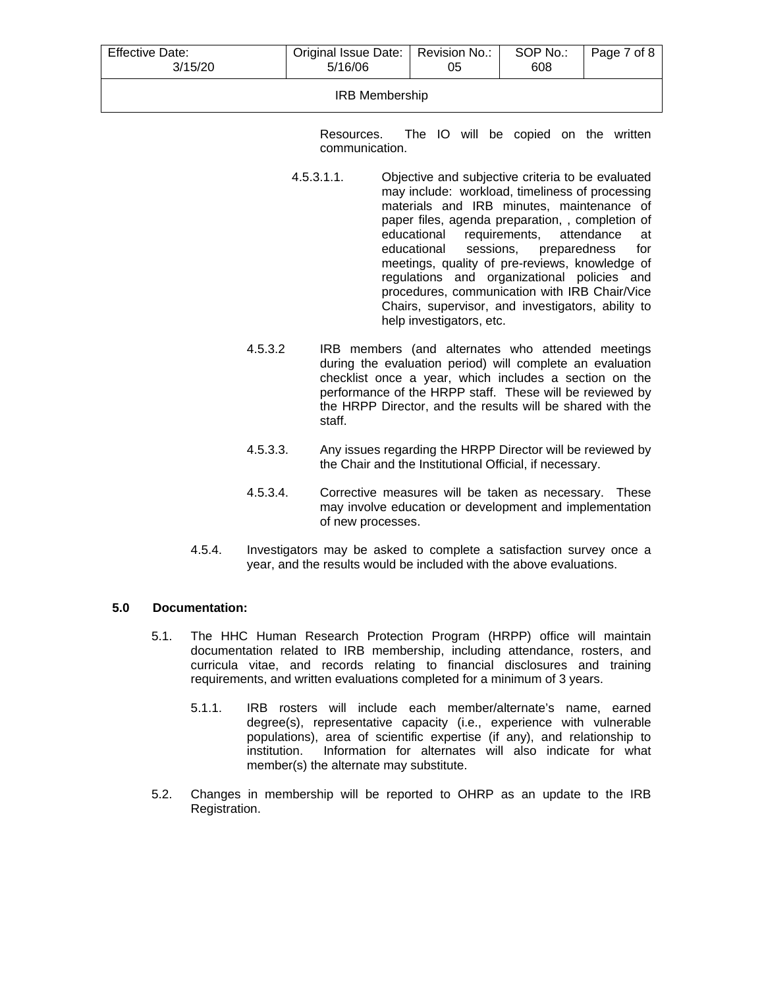| <b>Effective Date:</b><br>3/15/20 | Original Issue Date:   Revision No.:<br>5/16/06 | 05 | SOP No.:<br>608 | Page 7 of 8 |  |
|-----------------------------------|-------------------------------------------------|----|-----------------|-------------|--|
| <b>IRB Membership</b>             |                                                 |    |                 |             |  |

Resources. The IO will be copied on the written communication.

- 4.5.3.1.1. Objective and subjective criteria to be evaluated may include: workload, timeliness of processing materials and IRB minutes, maintenance of paper files, agenda preparation, , completion of educational requirements. attendance at requirements, attendance at educational sessions, preparedness for meetings, quality of pre-reviews, knowledge of regulations and organizational policies and procedures, communication with IRB Chair/Vice Chairs, supervisor, and investigators, ability to help investigators, etc.
- 4.5.3.2 IRB members (and alternates who attended meetings during the evaluation period) will complete an evaluation checklist once a year, which includes a section on the performance of the HRPP staff. These will be reviewed by the HRPP Director, and the results will be shared with the staff.
- 4.5.3.3. Any issues regarding the HRPP Director will be reviewed by the Chair and the Institutional Official, if necessary.
- 4.5.3.4. Corrective measures will be taken as necessary. These may involve education or development and implementation of new processes.
- 4.5.4. Investigators may be asked to complete a satisfaction survey once a year, and the results would be included with the above evaluations.

## **5.0 Documentation:**

- 5.1. The HHC Human Research Protection Program (HRPP) office will maintain documentation related to IRB membership, including attendance, rosters, and curricula vitae, and records relating to financial disclosures and training requirements, and written evaluations completed for a minimum of 3 years.
	- 5.1.1. IRB rosters will include each member/alternate's name, earned degree(s), representative capacity (i.e., experience with vulnerable populations), area of scientific expertise (if any), and relationship to institution. Information for alternates will also indicate for what member(s) the alternate may substitute.
- 5.2. Changes in membership will be reported to OHRP as an update to the IRB Registration.